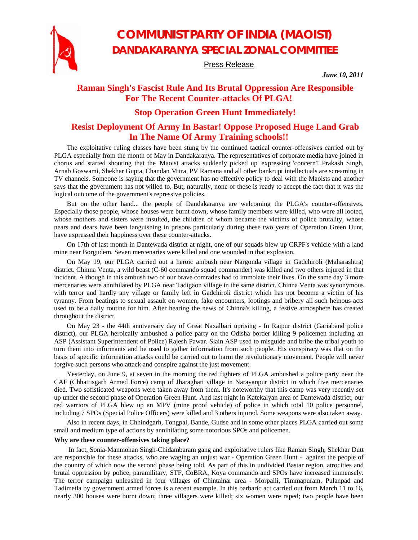

# **COMMUNIST PARTY OF INDIA (MAOIST) DANDAKARANYA SPECIAL ZONAL COMMITTEE**

Press Release

*June 10, 2011* 

### **Raman Singh's Fascist Rule And Its Brutal Oppression Are Responsible For The Recent Counter-attacks Of PLGA!**

### **Stop Operation Green Hunt Immediately!**

## **Resist Deployment Of Army In Bastar! Oppose Proposed Huge Land Grab In The Name Of Army Training schools!!**

The exploitative ruling classes have been stung by the continued tactical counter-offensives carried out by PLGA especially from the month of May in Dandakaranya. The representatives of corporate media have joined in chorus and started shouting that the 'Maoist attacks suddenly picked up' expressing 'concern'! Prakash Singh, Arnab Goswami, Shekhar Gupta, Chandan Mitra, PV Ramana and all other bankrupt intellectuals are screaming in TV channels. Someone is saying that the government has no effective policy to deal with the Maoists and another says that the government has not willed to. But, naturally, none of these is ready to accept the fact that it was the logical outcome of the government's repressive policies.

But on the other hand... the people of Dandakaranya are welcoming the PLGA's counter-offensives. Especially those people, whose houses were burnt down, whose family members were killed, who were all looted, whose mothers and sisters were insulted, the children of whom became the victims of police brutality, whose nears and dears have been languishing in prisons particularly during these two years of Operation Green Hunt, have expressed their happiness over these counter-attacks.

On 17th of last month in Dantewada district at night, one of our squads blew up CRPF's vehicle with a land mine near Borgudem. Seven mercenaries were killed and one wounded in that explosion.

On May 19, our PLGA carried out a heroic ambush near Nargonda village in Gadchiroli (Maharashtra) district. Chinna Venta, a wild beast (C-60 commando squad commander) was killed and two others injured in that incident. Although in this ambush two of our brave comrades had to immolate their lives. On the same day 3 more mercenaries were annihilated by PLGA near Tadigaon village in the same district. Chinna Venta was synonymous with terror and hardly any village or family left in Gadchiroli district which has not become a victim of his tyranny. From beatings to sexual assault on women, fake encounters, lootings and bribery all such heinous acts used to be a daily routine for him. After hearing the news of Chinna's killing, a festive atmosphere has created throughout the district.

On May 23 - the 44th anniversary day of Great Naxalbari uprising - In Raipur district (Gariaband police district), our PLGA heroically ambushed a police party on the Odisha border killing 9 policemen including an ASP (Assistant Superintendent of Police) Rajesh Pawar. Slain ASP used to misguide and bribe the tribal youth to turn them into informants and he used to gather information from such people. His conspiracy was that on the basis of specific information attacks could be carried out to harm the revolutionary movement. People will never forgive such persons who attack and conspire against the just movement.

Yesterday, on June 9, at seven in the morning the red fighters of PLGA ambushed a police party near the CAF (Chhattisgarh Armed Force) camp of Jharaghati village in Narayanpur district in which five mercenaries died. Two sofisticated weapons were taken away from them. It's noteworthy that this camp was very recently set up under the second phase of Operation Green Hunt. And last night in Katekalyan area of Dantewada district, our red warriors of PLGA blew up an MPV (mine proof vehicle) of police in which total 10 police personnel, including 7 SPOs (Special Police Officers) were killed and 3 others injured. Some weapons were also taken away.

Also in recent days, in Chhindgarh, Tongpal, Bande, Gudse and in some other places PLGA carried out some small and medium type of actions by annihilating some notorious SPOs and policemen.

#### **Why are these counter-offensives taking place?**

 In fact, Sonia-Manmohan Singh-Chidambaram gang and exploitative rulers like Raman Singh, Shekhar Dutt are responsible for these attacks, who are waging an unjust war - Operation Green Hunt - against the people of the country of which now the second phase being told. As part of this in undivided Bastar region, atrocities and brutal oppression by police, paramilitary, STF, CoBRA, Koya commando and SPOs have increased immensely. The terror campaign unleashed in four villages of Chintalnar area - Morpalli, Timmapuram, Pulanpad and Tadimetla by government armed forces is a recent example. In this barbaric act carried out from March 11 to 16, nearly 300 houses were burnt down; three villagers were killed; six women were raped; two people have been